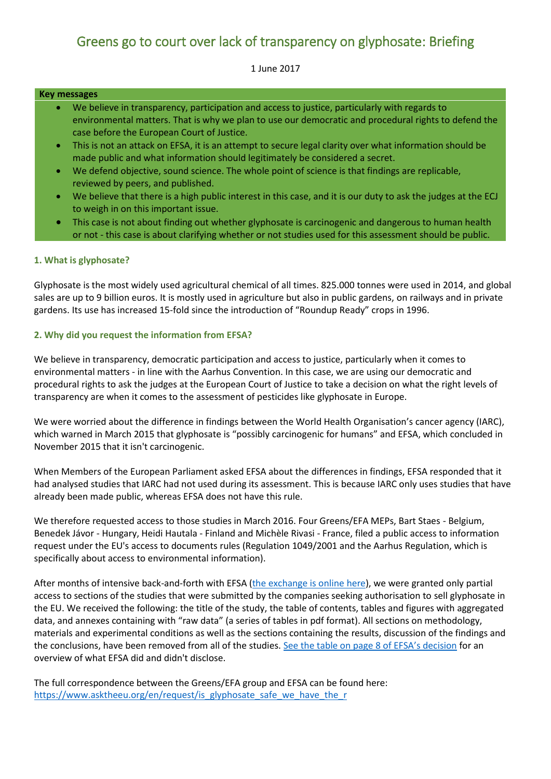# Greens go to court over lack of transparency on glyphosate: Briefing

1 June 2017

#### **Key messages**

- We believe in transparency, participation and access to justice, particularly with regards to environmental matters. That is why we plan to use our democratic and procedural rights to defend the case before the European Court of Justice.
- This is not an attack on EFSA, it is an attempt to secure legal clarity over what information should be made public and what information should legitimately be considered a secret.
- We defend objective, sound science. The whole point of science is that findings are replicable, reviewed by peers, and published.
- We believe that there is a high public interest in this case, and it is our duty to ask the judges at the ECJ to weigh in on this important issue.
- This case is not about finding out whether glyphosate is carcinogenic and dangerous to human health or not - this case is about clarifying whether or not studies used for this assessment should be public.

## **1. What is glyphosate?**

Glyphosate is the most widely used agricultural chemical of all times. 825.000 tonnes were used in 2014, and global sales are up to 9 billion euros. It is mostly used in agriculture but also in public gardens, on railways and in private gardens. Its use has increased 15-fold since the introduction of "Roundup Ready" crops in 1996.

#### **2. Why did you request the information from EFSA?**

We believe in transparency, democratic participation and access to justice, particularly when it comes to environmental matters - in line with the Aarhus Convention. In this case, we are using our democratic and procedural rights to ask the judges at the European Court of Justice to take a decision on what the right levels of transparency are when it comes to the assessment of pesticides like glyphosate in Europe.

We were worried about the difference in findings between the World Health Organisation's cancer agency (IARC), which warned in March 2015 that glyphosate is "possibly carcinogenic for humans" and EFSA, which concluded in November 2015 that it isn't carcinogenic.

When Members of the European Parliament asked EFSA about the differences in findings, EFSA responded that it had analysed studies that IARC had not used during its assessment. This is because IARC only uses studies that have already been made public, whereas EFSA does not have this rule.

We therefore requested access to those studies in March 2016. Four Greens/EFA MEPs, Bart Staes - Belgium, Benedek Jávor - Hungary, Heidi Hautala - Finland and Michèle Rivasi - France, filed a public access to information request under the EU's access to documents rules (Regulation 1049/2001 and the Aarhus Regulation, which is specifically about access to environmental information).

After months of intensive back-and-forth with EFSA [\(the exchange is online here\)](https://www.asktheeu.org/en/request/is_glyphosate_safe_we_have_the_r), we were granted only partial access to sections of the studies that were submitted by the companies seeking authorisation to sell glyphosate in the EU. We received the following: the title of the study, the table of contents, tables and figures with aggregated data, and annexes containing with "raw data" (a series of tables in pdf format). All sections on methodology, materials and experimental conditions as well as the sections containing the results, discussion of the findings and the conclusions, have been removed from all of the studies. [See the table on page 8 of EFSA's decision](https://www.asktheeu.org/en/request/2691/response/11429/attach/4/Out%2016212018%20PAD%202016%20034%20Letter%20to%20the%20MEPs%2020.09.2016.pdf) for an overview of what EFSA did and didn't disclose.

The full correspondence between the Greens/EFA group and EFSA can be found here: [https://www.asktheeu.org/en/request/is\\_glyphosate\\_safe\\_we\\_have\\_the\\_r](https://www.asktheeu.org/en/request/is_glyphosate_safe_we_have_the_r)